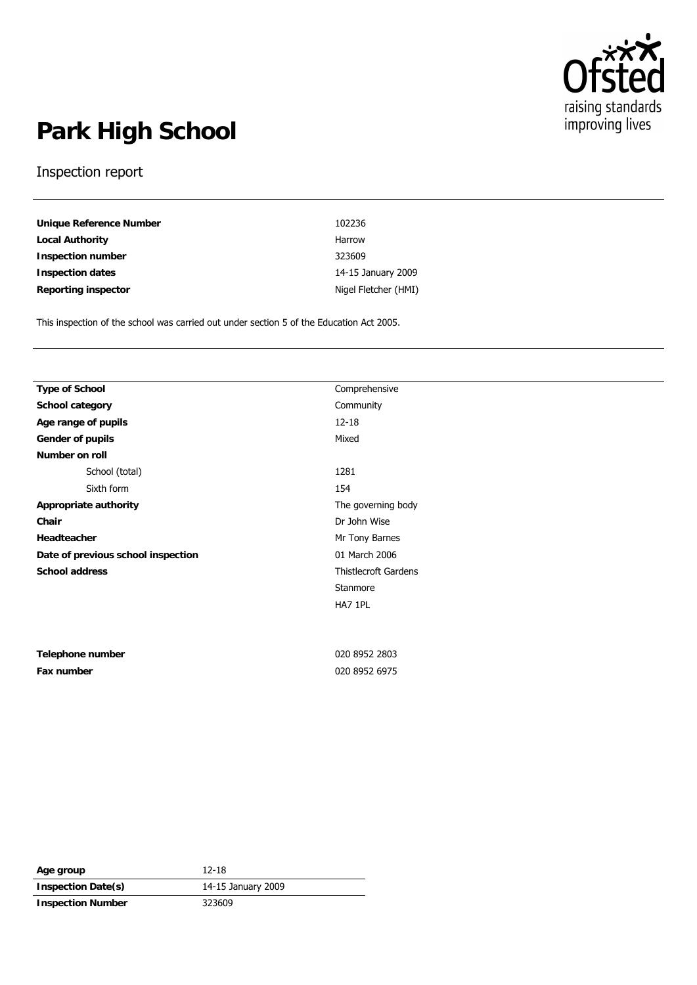

# **Park High School**

#### Inspection report

| Unique Reference Number | 102236               |
|-------------------------|----------------------|
| Local Authority         | Harrow               |
| Inspection number       | 323609               |
| Inspection dates        | 14-15 January 2009   |
| Reporting inspector     | Nigel Fletcher (HMI) |

This inspection of the school was carried out under section 5 of the Education Act 2005.

| Type of School                     | Comprehensive               |  |
|------------------------------------|-----------------------------|--|
| School category                    | Community                   |  |
| Age range of pupils                | $12 - 18$                   |  |
| Gender of pupils                   | Mixed                       |  |
| Number on roll                     |                             |  |
| School (total)                     | 1281                        |  |
| Sixth form                         | 154                         |  |
| Appropriate authority              | The governing body          |  |
| Chair                              | Dr John Wise                |  |
| Headteacher                        | Mr Tony Barnes              |  |
| Date of previous school inspection | 01 March 2006               |  |
| School address                     | <b>Thistlecroft Gardens</b> |  |
|                                    | Stanmore                    |  |
|                                    | HA7 1PL                     |  |
|                                    |                             |  |
|                                    |                             |  |
| Telephone number                   | 020 8952 2803               |  |
| Fax number                         | 020 8952 6975               |  |
|                                    |                             |  |
|                                    |                             |  |

| Age group                | 12-18              |
|--------------------------|--------------------|
| Inspection Date(s)       | 14-15 January 2009 |
| <b>Inspection Number</b> | 323609             |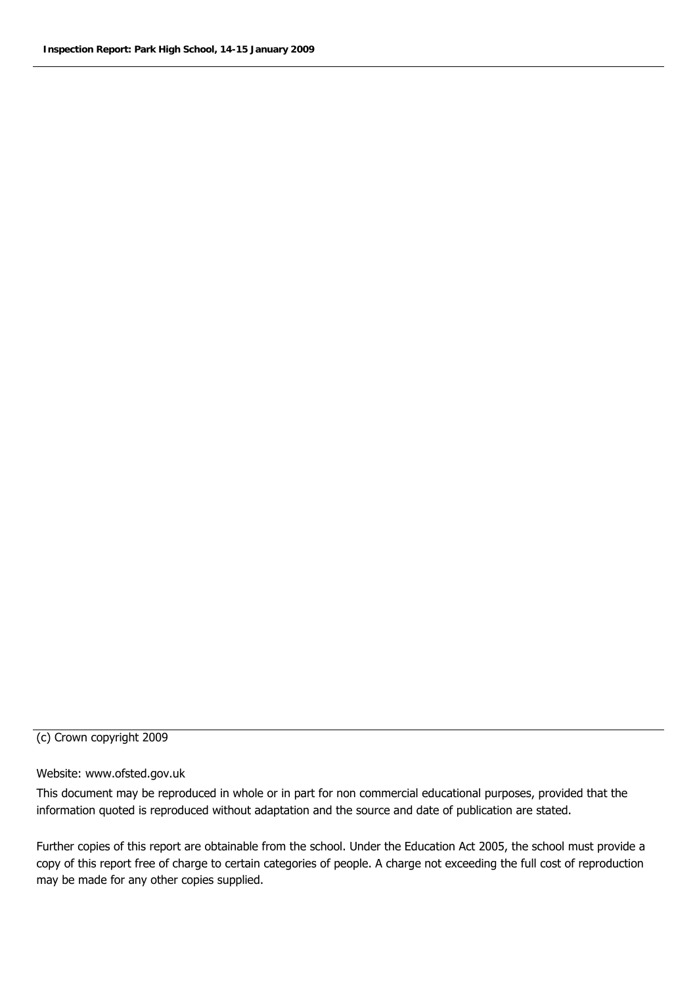#### (c) Crown copyright 2009

#### Website: www.ofsted.gov.uk

This document may be reproduced in whole or in part for non commercial educational purposes, provided that the information quoted is reproduced without adaptation and the source and date of publication are stated.

Further copies of this report are obtainable from the school. Under the Education Act 2005, the school must provide a copy of this report free of charge to certain categories of people. A charge not exceeding the full cost of reproduction may be made for any other copies supplied.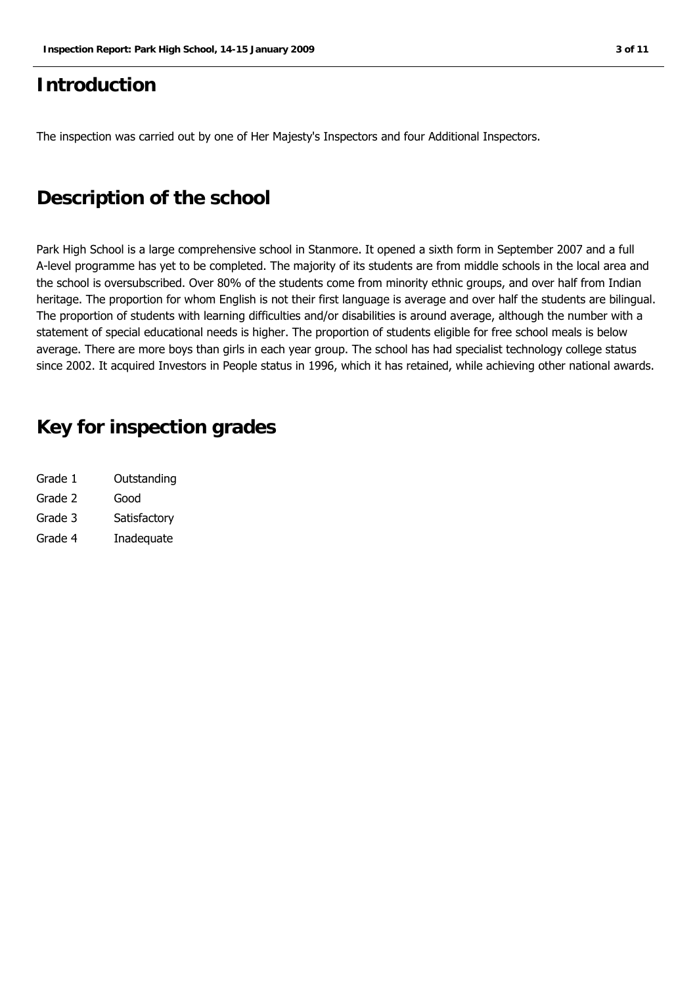### **Introduction**

The inspection was carried out by one of Her Majesty's Inspectors and four Additional Inspectors.

## **Description of the school**

Park High School is a large comprehensive school in Stanmore. It opened a sixth form in September 2007 and a full A-level programme has yet to be completed. The majority of its students are from middle schools in the local area and the school is oversubscribed. Over 80% of the students come from minority ethnic groups, and over half from Indian heritage. The proportion for whom English is not their first language is average and over half the students are bilingual. The proportion of students with learning difficulties and/or disabilities is around average, although the number with a statement of special educational needs is higher. The proportion of students eligible for free school meals is below average. There are more boys than girls in each year group. The school has had specialist technology college status since 2002. It acquired Investors in People status in 1996, which it has retained, while achieving other national awards.

## **Key for inspection grades**

| Grade 1 | Outstanding  |
|---------|--------------|
| Grade 2 | Good         |
| Grade 3 | Satisfactory |
| Grade 4 | Inadequate   |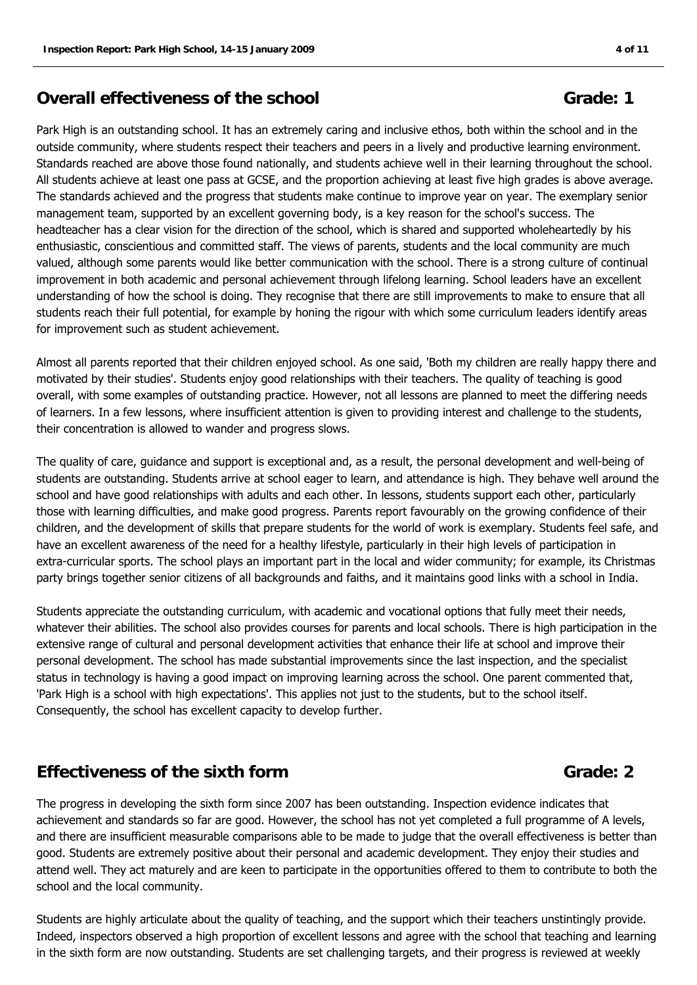#### **Overall effectiveness of the school Grade: 1 Grade: 1**

Park High is an outstanding school. It has an extremely caring and inclusive ethos, both within the school and in the outside community, where students respect their teachers and peers in a lively and productive learning environment. Standards reached are above those found nationally, and students achieve well in their learning throughout the school. All students achieve at least one pass at GCSE, and the proportion achieving at least five high grades is above average. The standards achieved and the progress that students make continue to improve year on year. The exemplary senior management team, supported by an excellent governing body, is a key reason for the school's success. The headteacher has a clear vision for the direction of the school, which is shared and supported wholeheartedly by his enthusiastic, conscientious and committed staff. The views of parents, students and the local community are much valued, although some parents would like better communication with the school. There is a strong culture of continual improvement in both academic and personal achievement through lifelong learning. School leaders have an excellent understanding of how the school is doing. They recognise that there are still improvements to make to ensure that all students reach their full potential, for example by honing the rigour with which some curriculum leaders identify areas for improvement such as student achievement.

Almost all parents reported that their children enjoyed school. As one said, 'Both my children are really happy there and motivated by their studies'. Students enjoy good relationships with their teachers. The quality of teaching is good overall, with some examples of outstanding practice. However, not all lessons are planned to meet the differing needs of learners. In a few lessons, where insufficient attention is given to providing interest and challenge to the students, their concentration is allowed to wander and progress slows.

The quality of care, guidance and support is exceptional and, as a result, the personal development and well-being of students are outstanding. Students arrive at school eager to learn, and attendance is high. They behave well around the school and have good relationships with adults and each other. In lessons, students support each other, particularly those with learning difficulties, and make good progress. Parents report favourably on the growing confidence of their children, and the development of skills that prepare students for the world of work is exemplary. Students feel safe, and have an excellent awareness of the need for a healthy lifestyle, particularly in their high levels of participation in extra-curricular sports. The school plays an important part in the local and wider community; for example, its Christmas party brings together senior citizens of all backgrounds and faiths, and it maintains good links with a school in India.

Students appreciate the outstanding curriculum, with academic and vocational options that fully meet their needs, whatever their abilities. The school also provides courses for parents and local schools. There is high participation in the extensive range of cultural and personal development activities that enhance their life at school and improve their personal development. The school has made substantial improvements since the last inspection, and the specialist status in technology is having a good impact on improving learning across the school. One parent commented that, 'Park High is a school with high expectations'. This applies not just to the students, but to the school itself. Consequently, the school has excellent capacity to develop further.

#### **Effectiveness of the sixth form Grade: 2 Grade: 2**

#### The progress in developing the sixth form since 2007 has been outstanding. Inspection evidence indicates that achievement and standards so far are good. However, the school has not yet completed a full programme of A levels, and there are insufficient measurable comparisons able to be made to judge that the overall effectiveness is better than good. Students are extremely positive about their personal and academic development. They enjoy their studies and attend well. They act maturely and are keen to participate in the opportunities offered to them to contribute to both the school and the local community.

Students are highly articulate about the quality of teaching, and the support which their teachers unstintingly provide. Indeed, inspectors observed a high proportion of excellent lessons and agree with the school that teaching and learning in the sixth form are now outstanding. Students are set challenging targets, and their progress is reviewed at weekly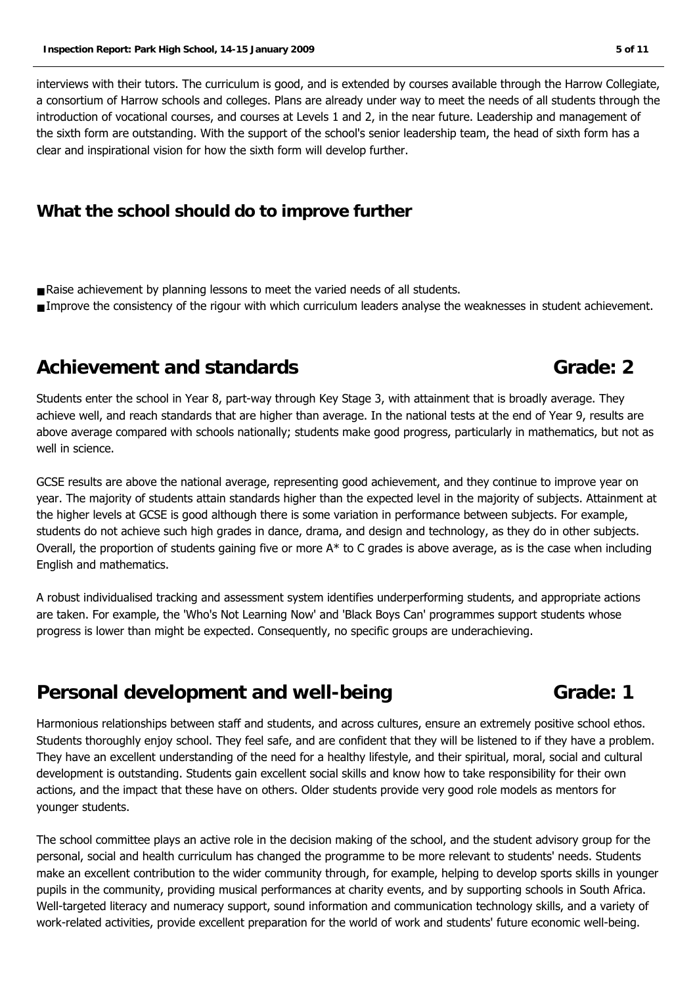interviews with their tutors. The curriculum is good, and is extended by courses available through the Harrow Collegiate, a consortium of Harrow schools and colleges. Plans are already under way to meet the needs of all students through the introduction of vocational courses, and courses at Levels 1 and 2, in the near future. Leadership and management of the sixth form are outstanding. With the support of the school's senior leadership team, the head of sixth form has a clear and inspirational vision for how the sixth form will develop further.

### **What the school should do to improve further**

- Raise achievement by planning lessons to meet the varied needs of all students.
- Improve the consistency of the rigour with which curriculum leaders analyse the weaknesses in student achievement.

## **Achievement and standards Grade: 2**

Students enter the school in Year 8, part-way through Key Stage 3, with attainment that is broadly average. They achieve well, and reach standards that are higher than average. In the national tests at the end of Year 9, results are above average compared with schools nationally; students make good progress, particularly in mathematics, but not as well in science.

GCSE results are above the national average, representing good achievement, and they continue to improve year on year. The majority of students attain standards higher than the expected level in the majority of subjects. Attainment at the higher levels at GCSE is good although there is some variation in performance between subjects. For example, students do not achieve such high grades in dance, drama, and design and technology, as they do in other subjects. Overall, the proportion of students gaining five or more  $A^*$  to C grades is above average, as is the case when including English and mathematics.

A robust individualised tracking and assessment system identifies underperforming students, and appropriate actions are taken. For example, the 'Who's Not Learning Now' and 'Black Boys Can' programmes support students whose progress is lower than might be expected. Consequently, no specific groups are underachieving.

## **Personal development and well-being Theorem Controllery Controllery Grade: 1**

Harmonious relationships between staff and students, and across cultures, ensure an extremely positive school ethos. Students thoroughly enjoy school. They feel safe, and are confident that they will be listened to if they have a problem. They have an excellent understanding of the need for a healthy lifestyle, and their spiritual, moral, social and cultural development is outstanding. Students gain excellent social skills and know how to take responsibility for their own actions, and the impact that these have on others. Older students provide very good role models as mentors for younger students.

The school committee plays an active role in the decision making of the school, and the student advisory group for the personal, social and health curriculum has changed the programme to be more relevant to students' needs. Students make an excellent contribution to the wider community through, for example, helping to develop sports skills in younger pupils in the community, providing musical performances at charity events, and by supporting schools in South Africa. Well-targeted literacy and numeracy support, sound information and communication technology skills, and a variety of work-related activities, provide excellent preparation for the world of work and students' future economic well-being.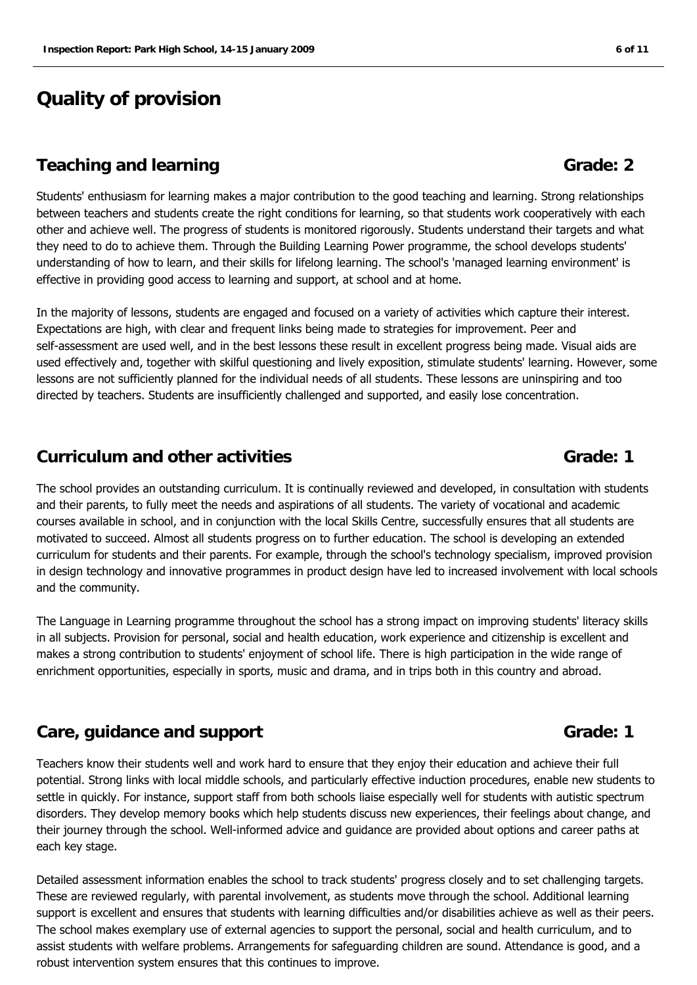## **Quality of provision**

#### **Teaching and learning and strates and strates and strates and strates and strates and strates and strates and strates and strates and strates and strates and strates and strates and strates and strates and strates and str**

Students' enthusiasm for learning makes a major contribution to the good teaching and learning. Strong relationships between teachers and students create the right conditions for learning, so that students work cooperatively with each other and achieve well. The progress of students is monitored rigorously. Students understand their targets and what they need to do to achieve them. Through the Building Learning Power programme, the school develops students' understanding of how to learn, and their skills for lifelong learning. The school's 'managed learning environment' is effective in providing good access to learning and support, at school and at home.

In the majority of lessons, students are engaged and focused on a variety of activities which capture their interest. Expectations are high, with clear and frequent links being made to strategies for improvement. Peer and self-assessment are used well, and in the best lessons these result in excellent progress being made. Visual aids are used effectively and, together with skilful questioning and lively exposition, stimulate students' learning. However, some lessons are not sufficiently planned for the individual needs of all students. These lessons are uninspiring and too directed by teachers. Students are insufficiently challenged and supported, and easily lose concentration.

#### **Curriculum and other activities Grade: 1**

The school provides an outstanding curriculum. It is continually reviewed and developed, in consultation with students and their parents, to fully meet the needs and aspirations of all students. The variety of vocational and academic courses available in school, and in conjunction with the local Skills Centre, successfully ensures that all students are motivated to succeed. Almost all students progress on to further education. The school is developing an extended curriculum for students and their parents. For example, through the school's technology specialism, improved provision in design technology and innovative programmes in product design have led to increased involvement with local schools and the community.

The Language in Learning programme throughout the school has a strong impact on improving students' literacy skills in all subjects. Provision for personal, social and health education, work experience and citizenship is excellent and makes a strong contribution to students' enjoyment of school life. There is high participation in the wide range of enrichment opportunities, especially in sports, music and drama, and in trips both in this country and abroad.

#### **Care, guidance and support Grade: 1 Grade: 1**

Teachers know their students well and work hard to ensure that they enjoy their education and achieve their full potential. Strong links with local middle schools, and particularly effective induction procedures, enable new students to settle in quickly. For instance, support staff from both schools liaise especially well for students with autistic spectrum disorders. They develop memory books which help students discuss new experiences, their feelings about change, and their journey through the school. Well-informed advice and guidance are provided about options and career paths at each key stage.

Detailed assessment information enables the school to track students' progress closely and to set challenging targets. These are reviewed regularly, with parental involvement, as students move through the school. Additional learning support is excellent and ensures that students with learning difficulties and/or disabilities achieve as well as their peers. The school makes exemplary use of external agencies to support the personal, social and health curriculum, and to assist students with welfare problems. Arrangements for safeguarding children are sound. Attendance is good, and a robust intervention system ensures that this continues to improve.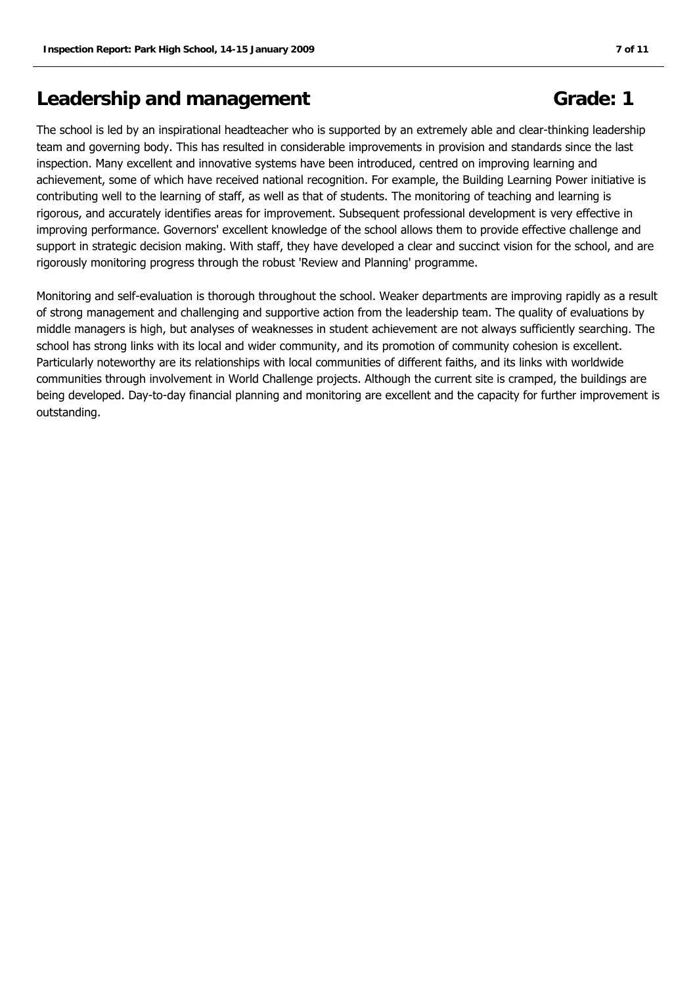## **Leadership and management Grade: 1**

The school is led by an inspirational headteacher who is supported by an extremely able and clear-thinking leadership team and governing body. This has resulted in considerable improvements in provision and standards since the last inspection. Many excellent and innovative systems have been introduced, centred on improving learning and achievement, some of which have received national recognition. For example, the Building Learning Power initiative is contributing well to the learning of staff, as well as that of students. The monitoring of teaching and learning is rigorous, and accurately identifies areas for improvement. Subsequent professional development is very effective in improving performance. Governors' excellent knowledge of the school allows them to provide effective challenge and support in strategic decision making. With staff, they have developed a clear and succinct vision for the school, and are rigorously monitoring progress through the robust 'Review and Planning' programme.

Monitoring and self-evaluation is thorough throughout the school. Weaker departments are improving rapidly as a result of strong management and challenging and supportive action from the leadership team. The quality of evaluations by middle managers is high, but analyses of weaknesses in student achievement are not always sufficiently searching. The school has strong links with its local and wider community, and its promotion of community cohesion is excellent. Particularly noteworthy are its relationships with local communities of different faiths, and its links with worldwide communities through involvement in World Challenge projects. Although the current site is cramped, the buildings are being developed. Day-to-day financial planning and monitoring are excellent and the capacity for further improvement is outstanding.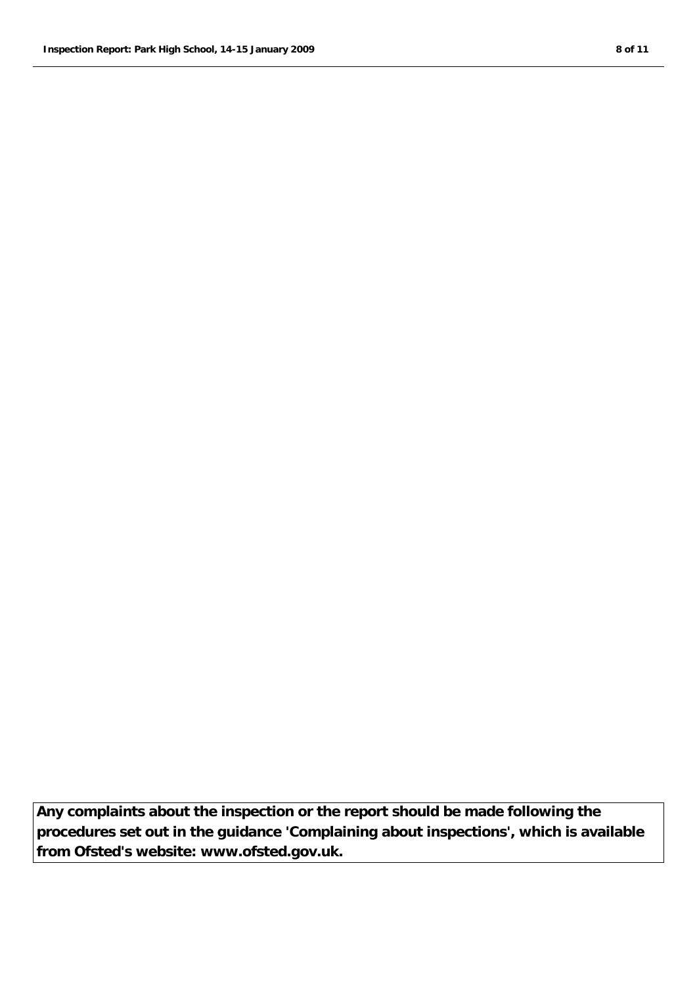**Any complaints about the inspection or the report should be made following the procedures set out in the guidance 'Complaining about inspections', which is available from Ofsted's website: www.ofsted.gov.uk.**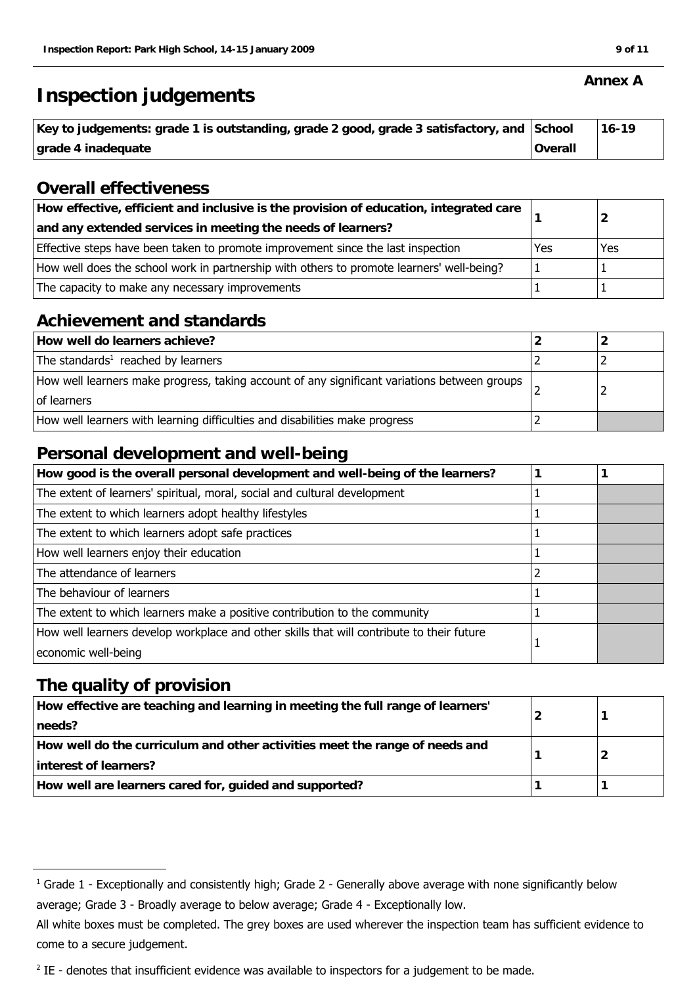## **Inspection judgements**

| Key to judgements: grade 1 is outstanding, grade 2 good, grade 3 satisfactory, and School |         | 16-19 |
|-------------------------------------------------------------------------------------------|---------|-------|
| grade 4 inadequate                                                                        | Overall |       |

### **Overall effectiveness**

| How effective, efficient and inclusive is the provision of education, integrated care     |     |     |
|-------------------------------------------------------------------------------------------|-----|-----|
| and any extended services in meeting the needs of learners?                               |     |     |
| Effective steps have been taken to promote improvement since the last inspection          | Yes | Yes |
| How well does the school work in partnership with others to promote learners' well-being? |     |     |
| The capacity to make any necessary improvements                                           |     |     |

### **Achievement and standards**

| How well do learners achieve?                                                                               |  |
|-------------------------------------------------------------------------------------------------------------|--|
| The standards <sup>1</sup> reached by learners                                                              |  |
| How well learners make progress, taking account of any significant variations between groups<br>of learners |  |
| How well learners with learning difficulties and disabilities make progress                                 |  |

### **Personal development and well-being**

| How good is the overall personal development and well-being of the learners?              |  |
|-------------------------------------------------------------------------------------------|--|
| The extent of learners' spiritual, moral, social and cultural development                 |  |
| The extent to which learners adopt healthy lifestyles                                     |  |
| The extent to which learners adopt safe practices                                         |  |
| How well learners enjoy their education                                                   |  |
| The attendance of learners                                                                |  |
| The behaviour of learners                                                                 |  |
| The extent to which learners make a positive contribution to the community                |  |
| How well learners develop workplace and other skills that will contribute to their future |  |
| economic well-being                                                                       |  |

### **The quality of provision**

| How effective are teaching and learning in meeting the full range of learners'<br>needs?             |  |
|------------------------------------------------------------------------------------------------------|--|
| How well do the curriculum and other activities meet the range of needs and<br>interest of learners? |  |
| How well are learners cared for, guided and supported?                                               |  |

#### **Annex A**

 $^1$  Grade 1 - Exceptionally and consistently high; Grade 2 - Generally above average with none significantly below average; Grade 3 - Broadly average to below average; Grade 4 - Exceptionally low.

All white boxes must be completed. The grey boxes are used wherever the inspection team has sufficient evidence to come to a secure judgement.

 $2$  IE - denotes that insufficient evidence was available to inspectors for a judgement to be made.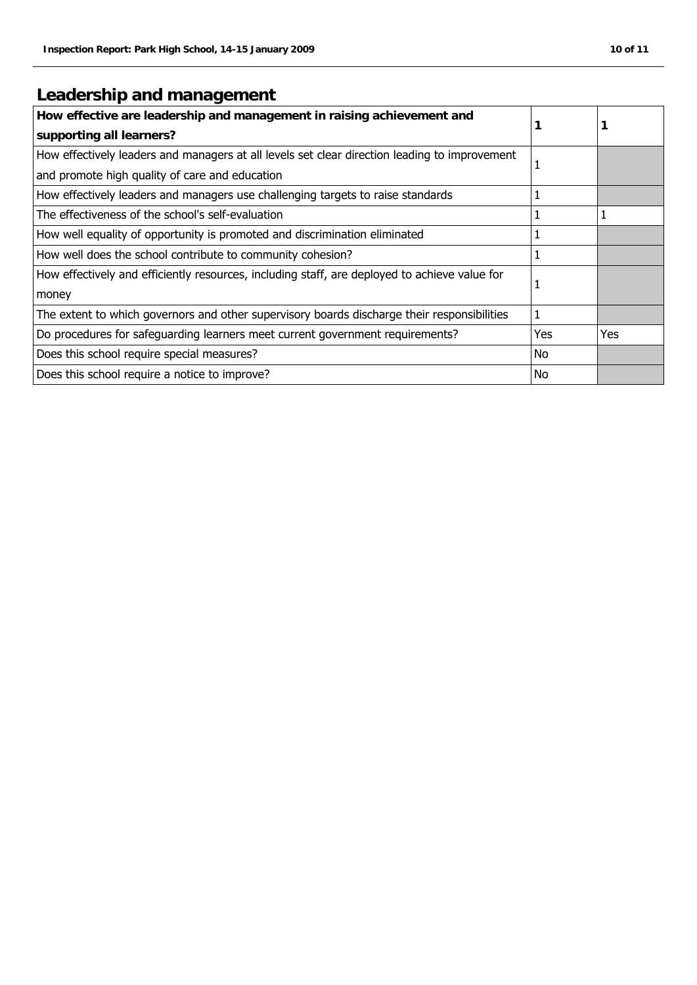## **Leadership and management**

| How effective are leadership and management in raising achievement and<br>supporting all learners? |     |     |
|----------------------------------------------------------------------------------------------------|-----|-----|
| How effectively leaders and managers at all levels set clear direction leading to improvement      | 1   |     |
| and promote high quality of care and education                                                     |     |     |
| How effectively leaders and managers use challenging targets to raise standards                    | 1   |     |
| The effectiveness of the school's self-evaluation                                                  | 1   |     |
| How well equality of opportunity is promoted and discrimination eliminated                         |     |     |
| How well does the school contribute to community cohesion?                                         | 1   |     |
| How effectively and efficiently resources, including staff, are deployed to achieve value for      | 1   |     |
| money                                                                                              |     |     |
| The extent to which governors and other supervisory boards discharge their responsibilities        | 1   |     |
| Do procedures for safeguarding learners meet current government requirements?                      | Yes | Yes |
| Does this school require special measures?                                                         | No. |     |
| Does this school require a notice to improve?                                                      | No  |     |